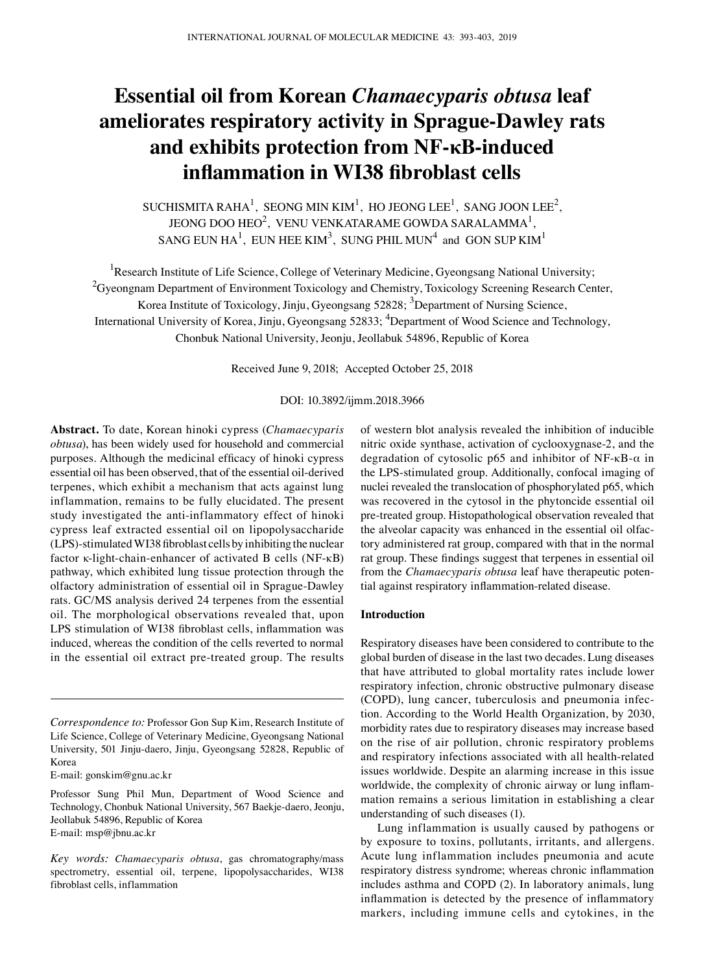# **Essential oil from Korean** *Chamaecyparis obtusa* **leaf ameliorates respiratory activity in Sprague‑Dawley rats and exhibits protection from NF-κB-induced inflammation in WI38 fibroblast cells**

SUCHISMITA RAHA<sup>1</sup>, SEONG MIN KIM<sup>1</sup>, HO JEONG LEE<sup>1</sup>, SANG JOON LEE<sup>2</sup>, JEONG DOO HEO<sup>2</sup>, VENU VENKATARAME GOWDA SARALAMMA<sup>1</sup>, SANG EUN HA $^1$ , EUN HEE KIM $^3$ , SUNG PHIL MUN $^4$  and GON SUP KIM $^1$ 

<sup>1</sup>Research Institute of Life Science, College of Veterinary Medicine, Gyeongsang National University; <sup>2</sup>Gyeongnam Department of Environment Toxicology and Chemistry, Toxicology Screening Research Center, Korea Institute of Toxicology, Jinju, Gyeongsang 52828; <sup>3</sup>Department of Nursing Science, International University of Korea, Jinju, Gyeongsang 52833; <sup>4</sup>Department of Wood Science and Technology, Chonbuk National University, Jeonju, Jeollabuk 54896, Republic of Korea

Received June 9, 2018; Accepted October 25, 2018

DOI: 10.3892/ijmm.2018.3966

**Abstract.** To date, Korean hinoki cypress (*Chamaecyparis obtusa*), has been widely used for household and commercial purposes. Although the medicinal efficacy of hinoki cypress essential oil has been observed, that of the essential oil-derived terpenes, which exhibit a mechanism that acts against lung inflammation, remains to be fully elucidated. The present study investigated the anti-inflammatory effect of hinoki cypress leaf extracted essential oil on lipopolysaccharide (LPS)‑stimulated WI38 fibroblast cells by inhibiting the nuclear factor κ-light-chain-enhancer of activated B cells (NF-κB) pathway, which exhibited lung tissue protection through the olfactory administration of essential oil in Sprague‑Dawley rats. GC/MS analysis derived 24 terpenes from the essential oil. The morphological observations revealed that, upon LPS stimulation of WI38 fibroblast cells, inflammation was induced, whereas the condition of the cells reverted to normal in the essential oil extract pre-treated group. The results

E-mail: gonskim@gnu.ac.kr

of western blot analysis revealed the inhibition of inducible nitric oxide synthase, activation of cyclooxygnase-2, and the degradation of cytosolic p65 and inhibitor of NF- $\kappa$ B- $\alpha$  in the LPS-stimulated group. Additionally, confocal imaging of nuclei revealed the translocation of phosphorylated p65, which was recovered in the cytosol in the phytoncide essential oil pre-treated group. Histopathological observation revealed that the alveolar capacity was enhanced in the essential oil olfactory administered rat group, compared with that in the normal rat group. These findings suggest that terpenes in essential oil from the *Chamaecyparis obtusa* leaf have therapeutic potential against respiratory inflammation‑related disease.

## **Introduction**

Respiratory diseases have been considered to contribute to the global burden of disease in the last two decades. Lung diseases that have attributed to global mortality rates include lower respiratory infection, chronic obstructive pulmonary disease (COPD), lung cancer, tuberculosis and pneumonia infection. According to the World Health Organization, by 2030, morbidity rates due to respiratory diseases may increase based on the rise of air pollution, chronic respiratory problems and respiratory infections associated with all health-related issues worldwide. Despite an alarming increase in this issue worldwide, the complexity of chronic airway or lung inflammation remains a serious limitation in establishing a clear understanding of such diseases (1).

Lung inflammation is usually caused by pathogens or by exposure to toxins, pollutants, irritants, and allergens. Acute lung inflammation includes pneumonia and acute respiratory distress syndrome; whereas chronic inflammation includes asthma and COPD (2). In laboratory animals, lung inflammation is detected by the presence of inflammatory markers, including immune cells and cytokines, in the

*Correspondence to:* Professor Gon Sup Kim, Research Institute of Life Science, College of Veterinary Medicine, Gyeongsang National University, 501 Jinju-daero, Jinju, Gyeongsang 52828, Republic of Korea

Professor Sung Phil Mun, Department of Wood Science and Technology, Chonbuk National University, 567 Baekje-daero, Jeonju, Jeollabuk 54896, Republic of Korea E-mail: msp@jbnu.ac.kr

*Key words: Chamaecyparis obtusa*, gas chromatography/mass spectrometry, essential oil, terpene, lipopolysaccharides, WI38 fibroblast cells, inflammation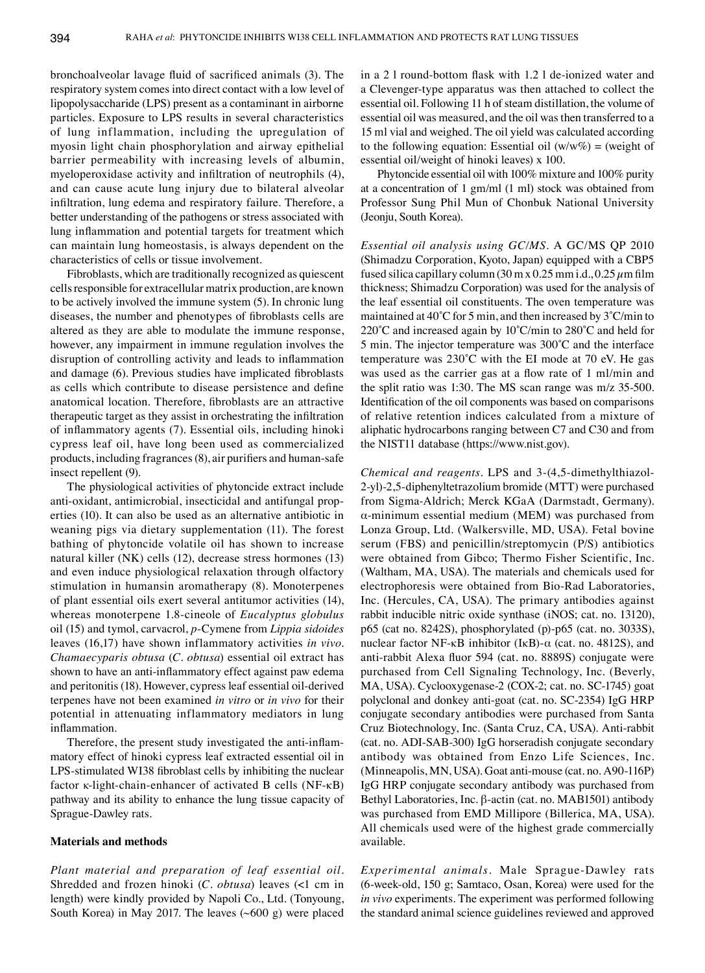bronchoalveolar lavage fluid of sacrificed animals (3). The respiratory system comes into direct contact with a low level of lipopolysaccharide (LPS) present as a contaminant in airborne particles. Exposure to LPS results in several characteristics of lung inflammation, including the upregulation of myosin light chain phosphorylation and airway epithelial barrier permeability with increasing levels of albumin, myeloperoxidase activity and infiltration of neutrophils (4), and can cause acute lung injury due to bilateral alveolar infiltration, lung edema and respiratory failure. Therefore, a better understanding of the pathogens or stress associated with lung inflammation and potential targets for treatment which can maintain lung homeostasis, is always dependent on the characteristics of cells or tissue involvement.

Fibroblasts, which are traditionally recognized as quiescent cells responsible for extracellular matrix production, are known to be actively involved the immune system (5). In chronic lung diseases, the number and phenotypes of fibroblasts cells are altered as they are able to modulate the immune response, however, any impairment in immune regulation involves the disruption of controlling activity and leads to inflammation and damage (6). Previous studies have implicated fibroblasts as cells which contribute to disease persistence and define anatomical location. Therefore, fibroblasts are an attractive therapeutic target as they assist in orchestrating the infiltration of inflammatory agents (7). Essential oils, including hinoki cypress leaf oil, have long been used as commercialized products, including fragrances(8), air purifiers and human‑safe insect repellent (9).

The physiological activities of phytoncide extract include anti-oxidant, antimicrobial, insecticidal and antifungal properties (10). It can also be used as an alternative antibiotic in weaning pigs via dietary supplementation (11). The forest bathing of phytoncide volatile oil has shown to increase natural killer (NK) cells (12), decrease stress hormones (13) and even induce physiological relaxation through olfactory stimulation in humansin aromatherapy (8). Monoterpenes of plant essential oils exert several antitumor activities (14), whereas monoterpene 1.8-cineole of *Eucalyptus globulus* oil (15) and tymol, carvacrol, *p*‑Cymene from *Lippia sidoides*  leaves (16,17) have shown inflammatory activities *in vivo*. *Chamaecyparis obtusa* (*C. obtusa*) essential oil extract has shown to have an anti-inflammatory effect against paw edema and peritonitis (18). However, cypress leaf essential oil-derived terpenes have not been examined *in vitro* or *in vivo* for their potential in attenuating inflammatory mediators in lung inflammation.

Therefore, the present study investigated the anti-inflammatory effect of hinoki cypress leaf extracted essential oil in LPS‑stimulated WI38 fibroblast cells by inhibiting the nuclear factor κ-light-chain-enhancer of activated B cells (NF-κB) pathway and its ability to enhance the lung tissue capacity of Sprague‑Dawley rats.

#### **Materials and methods**

*Plant material and preparation of leaf essential oil.*  Shredded and frozen hinoki (*C. obtusa*) leaves (<1 cm in length) were kindly provided by Napoli Co., Ltd. (Tonyoung, South Korea) in May 2017. The leaves (~600 g) were placed in a 2 l round‑bottom flask with 1.2 l de‑ionized water and a Clevenger-type apparatus was then attached to collect the essential oil. Following 11 h of steam distillation, the volume of essential oil was measured, and the oil was then transferred to a 15 ml vial and weighed. The oil yield was calculated according to the following equation: Essential oil  $(w/w\%) = (weight \ of)$ essential oil/weight of hinoki leaves) x 100.

Phytoncide essential oil with 100% mixture and 100% purity at a concentration of 1 gm/ml (1 ml) stock was obtained from Professor Sung Phil Mun of Chonbuk National University (Jeonju, South Korea).

*Essential oil analysis using GC/MS.* A GC/MS QP 2010 (Shimadzu Corporation, Kyoto, Japan) equipped with a CBP5 fused silica capillary column (30 m x 0.25 mm i.d., 0.25  $\mu$ m film thickness; Shimadzu Corporation) was used for the analysis of the leaf essential oil constituents. The oven temperature was maintained at 40˚C for 5 min, and then increased by 3˚C/min to 220˚C and increased again by 10˚C/min to 280˚C and held for 5 min. The injector temperature was 300˚C and the interface temperature was 230˚C with the EI mode at 70 eV. He gas was used as the carrier gas at a flow rate of 1 ml/min and the split ratio was 1:30. The MS scan range was m/z 35-500. Identification of the oil components was based on comparisons of relative retention indices calculated from a mixture of aliphatic hydrocarbons ranging between C7 and C30 and from the NIST11 database (https://www.nist.gov).

*Chemical and reagents.* LPS and 3-(4,5-dimethylthiazol-2-yl)-2,5-diphenyltetrazolium bromide (MTT) were purchased from Sigma-Aldrich; Merck KGaA (Darmstadt, Germany). α-minimum essential medium (MEM) was purchased from Lonza Group, Ltd. (Walkersville, MD, USA). Fetal bovine serum (FBS) and penicillin/streptomycin (P/S) antibiotics were obtained from Gibco; Thermo Fisher Scientific, Inc. (Waltham, MA, USA). The materials and chemicals used for electrophoresis were obtained from Bio-Rad Laboratories, Inc. (Hercules, CA, USA). The primary antibodies against rabbit inducible nitric oxide synthase (iNOS; cat. no. 13120), p65 (cat no. 8242S), phosphorylated (p)-p65 (cat. no. 3033S), nuclear factor NF-κB inhibitor (IκB)-α (cat. no. 4812S), and anti-rabbit Alexa fluor 594 (cat. no. 8889S) conjugate were purchased from Cell Signaling Technology, Inc. (Beverly, MA, USA). Cyclooxygenase-2 (COX-2; cat. no. SC-1745) goat polyclonal and donkey anti-goat (cat. no. SC‑2354) IgG HRP conjugate secondary antibodies were purchased from Santa Cruz Biotechnology, Inc. (Santa Cruz, CA, USA). Anti-rabbit (cat. no. ADI-SAB-300) IgG horseradish conjugate secondary antibody was obtained from Enzo Life Sciences, Inc. (Minneapolis, MN, USA). Goat anti-mouse (cat. no. A90-116P) IgG HRP conjugate secondary antibody was purchased from Bethyl Laboratories, Inc. β-actin (cat. no. MAB1501) antibody was purchased from EMD Millipore (Billerica, MA, USA). All chemicals used were of the highest grade commercially available.

*Experimental animals.* Male Sprague‑Dawley rats (6-week-old, 150 g; Samtaco, Osan, Korea) were used for the *in vivo* experiments. The experiment was performed following the standard animal science guidelines reviewed and approved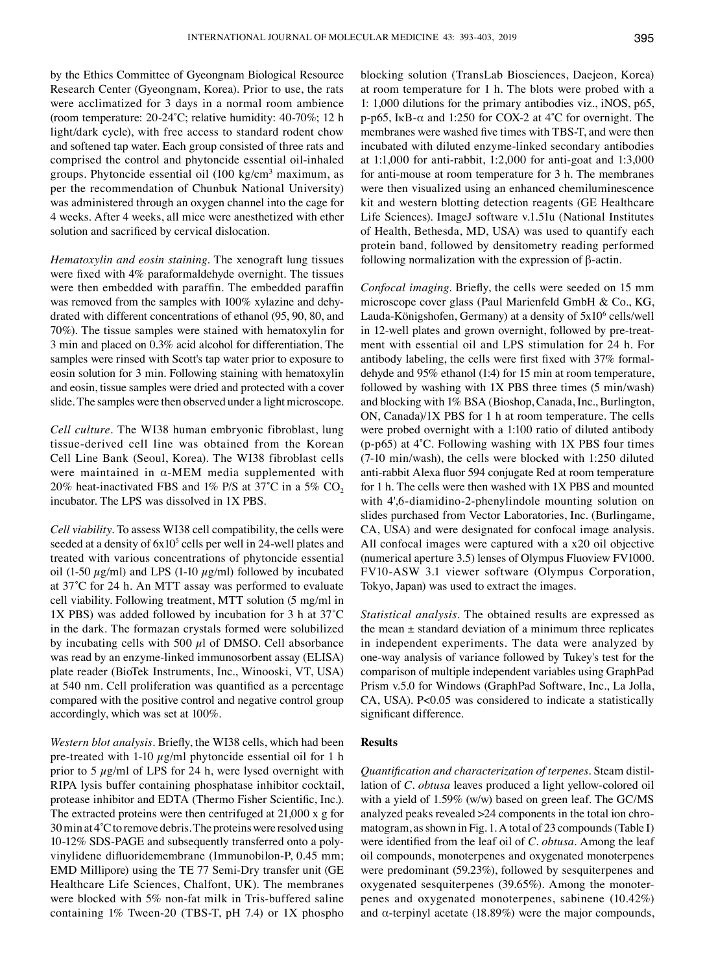by the Ethics Committee of Gyeongnam Biological Resource Research Center (Gyeongnam, Korea). Prior to use, the rats were acclimatized for 3 days in a normal room ambience (room temperature: 20‑24˚C; relative humidity: 40‑70%; 12 h light/dark cycle), with free access to standard rodent chow and softened tap water. Each group consisted of three rats and comprised the control and phytoncide essential oil-inhaled groups. Phytoncide essential oil (100 kg/cm<sup>3</sup> maximum, as per the recommendation of Chunbuk National University) was administered through an oxygen channel into the cage for 4 weeks. After 4 weeks, all mice were anesthetized with ether solution and sacrificed by cervical dislocation.

*Hematoxylin and eosin staining.* The xenograft lung tissues were fixed with 4% paraformaldehyde overnight. The tissues were then embedded with paraffin. The embedded paraffin was removed from the samples with 100% xylazine and dehydrated with different concentrations of ethanol (95, 90, 80, and 70%). The tissue samples were stained with hematoxylin for 3 min and placed on 0.3% acid alcohol for differentiation. The samples were rinsed with Scott's tap water prior to exposure to eosin solution for 3 min. Following staining with hematoxylin and eosin, tissue samples were dried and protected with a cover slide. The samples were then observed under a light microscope.

*Cell culture.* The WI38 human embryonic fibroblast, lung tissue-derived cell line was obtained from the Korean Cell Line Bank (Seoul, Korea). The WI38 fibroblast cells were maintained in  $\alpha$ -MEM media supplemented with 20% heat-inactivated FBS and 1% P/S at 37°C in a 5% CO<sub>2</sub> incubator. The LPS was dissolved in 1X PBS.

*Cell viability.* To assess WI38 cell compatibility, the cells were seeded at a density of  $6x10^5$  cells per well in 24-well plates and treated with various concentrations of phytoncide essential oil (1-50  $\mu$ g/ml) and LPS (1-10  $\mu$ g/ml) followed by incubated at 37˚C for 24 h. An MTT assay was performed to evaluate cell viability. Following treatment, MTT solution (5 mg/ml in 1X PBS) was added followed by incubation for 3 h at 37˚C in the dark. The formazan crystals formed were solubilized by incubating cells with 500  $\mu$ l of DMSO. Cell absorbance was read by an enzyme-linked immunosorbent assay (ELISA) plate reader (BioTek Instruments, Inc., Winooski, VT, USA) at 540 nm. Cell proliferation was quantified as a percentage compared with the positive control and negative control group accordingly, which was set at 100%.

*Western blot analysis.* Briefly, the WI38 cells, which had been pre-treated with 1-10  $\mu$ g/ml phytoncide essential oil for 1 h prior to 5  $\mu$ g/ml of LPS for 24 h, were lysed overnight with RIPA lysis buffer containing phosphatase inhibitor cocktail, protease inhibitor and EDTA (Thermo Fisher Scientific, Inc.). The extracted proteins were then centrifuged at 21,000 x g for 30min at 4˚C to remove debris. The proteins were resolved using 10-12% SDS-PAGE and subsequently transferred onto a polyvinylidene difluoridemembrane (Immunobilon‑P, 0.45 mm; EMD Millipore) using the TE 77 Semi‑Dry transfer unit (GE Healthcare Life Sciences, Chalfont, UK). The membranes were blocked with 5% non-fat milk in Tris-buffered saline containing 1% Tween-20 (TBS-T, pH 7.4) or 1X phospho blocking solution (TransLab Biosciences, Daejeon, Korea) at room temperature for 1 h. The blots were probed with a 1: 1,000 dilutions for the primary antibodies viz., iNOS, p65, p-p65, I $\kappa$ B- $\alpha$  and 1:250 for COX-2 at 4°C for overnight. The membranes were washed five times with TBS‑T, and were then incubated with diluted enzyme-linked secondary antibodies at 1:1,000 for anti-rabbit, 1:2,000 for anti-goat and 1:3,000 for anti-mouse at room temperature for 3 h. The membranes were then visualized using an enhanced chemiluminescence kit and western blotting detection reagents (GE Healthcare Life Sciences). ImageJ software v.1.51u (National Institutes of Health, Bethesda, MD, USA) was used to quantify each protein band, followed by densitometry reading performed following normalization with the expression of β-actin.

*Confocal imaging.* Briefly, the cells were seeded on 15 mm microscope cover glass (Paul Marienfeld GmbH & Co., KG, Lauda-Königshofen, Germany) at a density of 5x10<sup>6</sup> cells/well in 12-well plates and grown overnight, followed by pre-treatment with essential oil and LPS stimulation for 24 h. For antibody labeling, the cells were first fixed with 37% formaldehyde and 95% ethanol (1:4) for 15 min at room temperature, followed by washing with 1X PBS three times (5 min/wash) and blocking with 1% BSA (Bioshop, Canada, Inc., Burlington, ON, Canada)/1X PBS for 1 h at room temperature. The cells were probed overnight with a 1:100 ratio of diluted antibody  $(p-p65)$  at  $4^{\circ}$ C. Following washing with 1X PBS four times (7-10 min/wash), the cells were blocked with 1:250 diluted anti‑rabbit Alexa fluor 594 conjugate Red at room temperature for 1 h. The cells were then washed with 1X PBS and mounted with 4',6-diamidino-2-phenylindole mounting solution on slides purchased from Vector Laboratories, Inc. (Burlingame, CA, USA) and were designated for confocal image analysis. All confocal images were captured with a x20 oil objective (numerical aperture 3.5) lenses of Olympus Fluoview FV1000. FV10-ASW 3.1 viewer software (Olympus Corporation, Tokyo, Japan) was used to extract the images.

*Statistical analysis.* The obtained results are expressed as the mean  $\pm$  standard deviation of a minimum three replicates in independent experiments. The data were analyzed by one-way analysis of variance followed by Tukey's test for the comparison of multiple independent variables using GraphPad Prism v.5.0 for Windows (GraphPad Software, Inc., La Jolla, CA, USA). P<0.05 was considered to indicate a statistically significant difference.

# **Results**

*Quantification and characterization of terpenes.* Steam distillation of *C. obtusa* leaves produced a light yellow-colored oil with a yield of 1.59% (w/w) based on green leaf. The GC/MS analyzed peaks revealed >24 components in the total ion chromatogram, as shown in Fig. 1. A total of 23 compounds(Table I) were identified from the leaf oil of *C. obtusa*. Among the leaf oil compounds, monoterpenes and oxygenated monoterpenes were predominant (59.23%), followed by sesquiterpenes and oxygenated sesquiterpenes (39.65%). Among the monoterpenes and oxygenated monoterpenes, sabinene (10.42%) and  $\alpha$ -terpinyl acetate (18.89%) were the major compounds,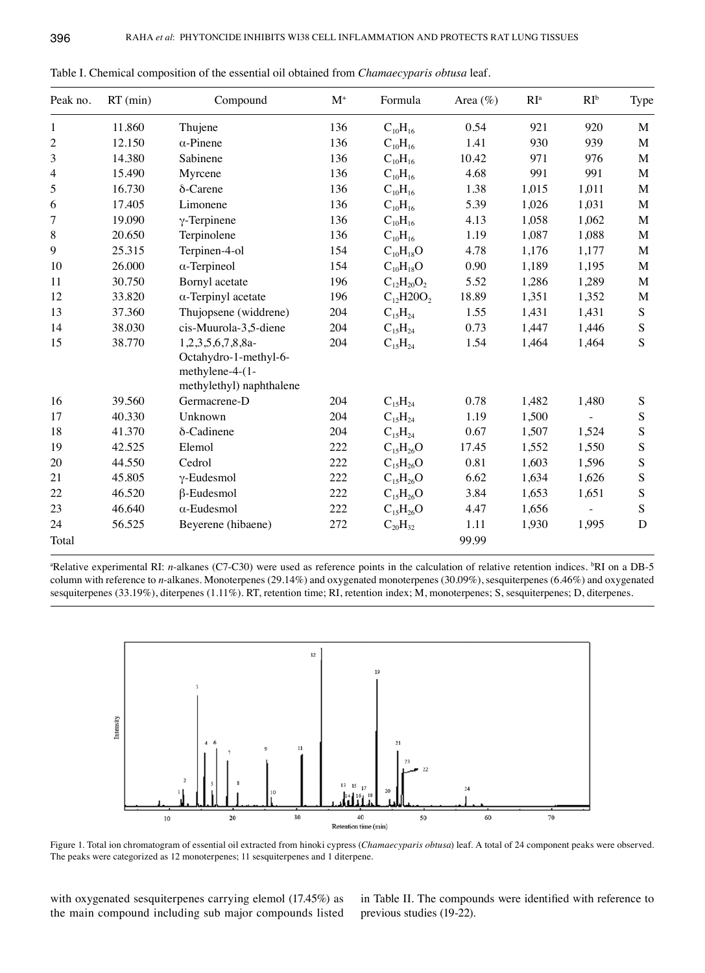| Peak no.       | $RT$ (min) | Compound                                                                                  | $\mathbf{M}^+$ | Formula                                          | Area $(\%)$ | RI <sup>a</sup> | $RI^b$ | Type        |
|----------------|------------|-------------------------------------------------------------------------------------------|----------------|--------------------------------------------------|-------------|-----------------|--------|-------------|
| 1              | 11.860     | Thujene                                                                                   | 136            | $C_{10}H_{16}$                                   | 0.54        | 921             | 920    | M           |
| $\overline{c}$ | 12.150     | $\alpha$ -Pinene                                                                          | 136            | $C_{10}H_{16}$                                   | 1.41        | 930             | 939    | M           |
| 3              | 14.380     | Sabinene                                                                                  | 136            | $C_{10}H_{16}$                                   | 10.42       | 971             | 976    | M           |
| $\overline{4}$ | 15.490     | Myrcene                                                                                   | 136            | $C_{10}H_{16}$                                   | 4.68        | 991             | 991    | M           |
| 5              | 16.730     | δ-Carene                                                                                  | 136            | $C_{10}H_{16}$                                   | 1.38        | 1,015           | 1,011  | $\mathbf M$ |
| 6              | 17.405     | Limonene                                                                                  | 136            | $C_{10}H_{16}$                                   | 5.39        | 1,026           | 1,031  | $\mathbf M$ |
| 7              | 19.090     | $\gamma$ -Terpinene                                                                       | 136            | $C_{10}H_{16}$                                   | 4.13        | 1,058           | 1,062  | M           |
| 8              | 20.650     | Terpinolene                                                                               | 136            | $C_{10}H_{16}$                                   | 1.19        | 1,087           | 1,088  | $\mathbf M$ |
| 9              | 25.315     | Terpinen-4-ol                                                                             | 154            | $C_{10}H_{18}O$                                  | 4.78        | 1,176           | 1,177  | M           |
| 10             | 26.000     | $\alpha$ -Terpineol                                                                       | 154            | $C_{10}H_{18}O$                                  | 0.90        | 1,189           | 1,195  | M           |
| 11             | 30.750     | Bornyl acetate                                                                            | 196            | $C_{12}H_{20}O_2$                                | 5.52        | 1,286           | 1,289  | $\mathbf M$ |
| 12             | 33.820     | $\alpha$ -Terpinyl acetate                                                                | 196            | $C_1$ <sub>2</sub> H <sub>2</sub> O <sub>2</sub> | 18.89       | 1,351           | 1,352  | $\mathbf M$ |
| 13             | 37.360     | Thujopsene (widdrene)                                                                     | 204            | $C_{15}H_{24}$                                   | 1.55        | 1,431           | 1,431  | ${\bf S}$   |
| 14             | 38.030     | cis-Muurola-3,5-diene                                                                     | 204            | $C_{15}H_{24}$                                   | 0.73        | 1,447           | 1,446  | ${\bf S}$   |
| 15             | 38.770     | 1,2,3,5,6,7,8,8a-<br>Octahydro-1-methyl-6-<br>methylene-4-(1-<br>methylethyl) naphthalene | 204            | $C_{15}H_{24}$                                   | 1.54        | 1,464           | 1,464  | S           |
| 16             | 39.560     | Germacrene-D                                                                              | 204            | $C_{15}H_{24}$                                   | 0.78        | 1,482           | 1,480  | ${\bf S}$   |
| 17             | 40.330     | Unknown                                                                                   | 204            | $C_{15}H_{24}$                                   | 1.19        | 1,500           |        | ${\bf S}$   |
| 18             | 41.370     | δ-Cadinene                                                                                | 204            | $C_{15}H_{24}$                                   | 0.67        | 1,507           | 1,524  | ${\bf S}$   |
| 19             | 42.525     | Elemol                                                                                    | 222            | $C_{15}H_{26}O$                                  | 17.45       | 1,552           | 1,550  | ${\bf S}$   |
| 20             | 44.550     | Cedrol                                                                                    | 222            | $C_{15}H_{26}O$                                  | 0.81        | 1,603           | 1,596  | ${\bf S}$   |
| 21             | 45.805     | $\gamma$ -Eudesmol                                                                        | 222            | $C_{15}H_{26}O$                                  | 6.62        | 1,634           | 1,626  | ${\bf S}$   |
| 22             | 46.520     | $\beta$ -Eudesmol                                                                         | 222            | $C_{15}H_{26}O$                                  | 3.84        | 1,653           | 1,651  | ${\bf S}$   |
| 23             | 46.640     | $\alpha$ -Eudesmol                                                                        | 222            | $C_{15}H_{26}O$                                  | 4.47        | 1,656           |        | S           |
| 24             | 56.525     | Beyerene (hibaene)                                                                        | 272            | $C_{20}H_{32}$                                   | 1.11        | 1,930           | 1,995  | $\mathbf D$ |
| Total          |            |                                                                                           |                |                                                  | 99.99       |                 |        |             |

Table I. Chemical composition of the essential oil obtained from *Chamaecyparis obtusa* leaf.

<sup>a</sup>Relative experimental RI: *n*-alkanes (C7-C30) were used as reference points in the calculation of relative retention indices. <sup>b</sup>RI on a DB-5 column with reference to *n*-alkanes. Monoterpenes (29.14%) and oxygenated monoterpenes (30.09%), sesquiterpenes (6.46%) and oxygenated sesquiterpenes (33.19%), diterpenes (1.11%). RT, retention time; RI, retention index; M, monoterpenes; S, sesquiterpenes; D, diterpenes.



Figure 1. Total ion chromatogram of essential oil extracted from hinoki cypress (*Chamaecyparis obtusa*) leaf. A total of 24 component peaks were observed. The peaks were categorized as 12 monoterpenes; 11 sesquiterpenes and 1 diterpene.

with oxygenated sesquiterpenes carrying elemol (17.45%) as the main compound including sub major compounds listed in Table II. The compounds were identified with reference to previous studies (19-22).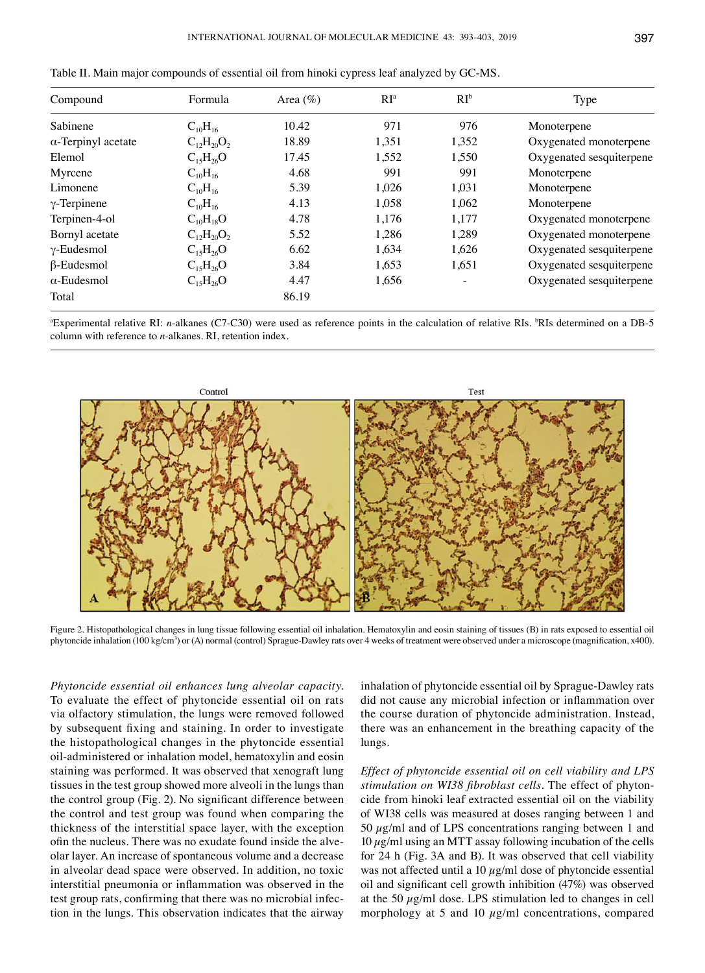| Compound                   | Formula           | Area $(\% )$ | RI <sup>a</sup> | $RI^b$ | Type                     |
|----------------------------|-------------------|--------------|-----------------|--------|--------------------------|
| Sabinene                   | $C_{10}H_{16}$    | 10.42        | 971             | 976    | Monoterpene              |
| $\alpha$ -Terpinyl acetate | $C_{12}H_{20}O_2$ | 18.89        | 1,351           | 1,352  | Oxygenated monoterpene   |
| Elemol                     | $C_{15}H_{26}O$   | 17.45        | 1,552           | 1,550  | Oxygenated sesquiterpene |
| Myrcene                    | $C_{10}H_{16}$    | 4.68         | 991             | 991    | Monoterpene              |
| Limonene                   | $C_{10}H_{16}$    | 5.39         | 1,026           | 1,031  | Monoterpene              |
| $\gamma$ -Terpinene        | $C_{10}H_{16}$    | 4.13         | 1,058           | 1,062  | Monoterpene              |
| Terpinen-4-ol              | $C_{10}H_{18}O$   | 4.78         | 1,176           | 1,177  | Oxygenated monoterpene   |
| Bornyl acetate             | $C_{12}H_{20}O_2$ | 5.52         | 1.286           | 1,289  | Oxygenated monoterpene   |
| $\gamma$ -Eudesmol         | $C_{15}H_{26}O$   | 6.62         | 1,634           | 1,626  | Oxygenated sesquiterpene |
| $\beta$ -Eudesmol          | $C_{15}H_{26}O$   | 3.84         | 1,653           | 1,651  | Oxygenated sesquiterpene |
| $\alpha$ -Eudesmol         | $C_{15}H_{26}O$   | 4.47         | 1,656           |        | Oxygenated sesquiterpene |
| Total                      |                   | 86.19        |                 |        |                          |

Table II. Main major compounds of essential oil from hinoki cypress leaf analyzed by GC‑MS.

<sup>a</sup>Experimental relative RI: *n*-alkanes (C7-C30) were used as reference points in the calculation of relative RIs. <sup>b</sup>RIs determined on a DB-5 column with reference to *n*-alkanes. RI, retention index.



Figure 2. Histopathological changes in lung tissue following essential oil inhalation. Hematoxylin and eosin staining of tissues (B) in rats exposed to essential oil phytoncide inhalation (100 kg/cm<sup>3</sup>) or (A) normal (control) Sprague‑Dawley rats over 4 weeks of treatment were observed under a microscope (magnification, x400).

*Phytoncide essential oil enhances lung alveolar capacity.*  To evaluate the effect of phytoncide essential oil on rats via olfactory stimulation, the lungs were removed followed by subsequent fixing and staining. In order to investigate the histopathological changes in the phytoncide essential oil-administered or inhalation model, hematoxylin and eosin staining was performed. It was observed that xenograft lung tissues in the test group showed more alveoli in the lungs than the control group (Fig. 2). No significant difference between the control and test group was found when comparing the thickness of the interstitial space layer, with the exception ofin the nucleus. There was no exudate found inside the alveolar layer. An increase of spontaneous volume and a decrease in alveolar dead space were observed. In addition, no toxic interstitial pneumonia or inflammation was observed in the test group rats, confirming that there was no microbial infection in the lungs. This observation indicates that the airway inhalation of phytoncide essential oil by Sprague‑Dawley rats did not cause any microbial infection or inflammation over the course duration of phytoncide administration. Instead, there was an enhancement in the breathing capacity of the lungs.

*Effect of phytoncide essential oil on cell viability and LPS stimulation on WI38 fibroblast cells.* The effect of phytoncide from hinoki leaf extracted essential oil on the viability of WI38 cells was measured at doses ranging between 1 and 50  $\mu$ g/ml and of LPS concentrations ranging between 1 and  $10 \mu g$ /ml using an MTT assay following incubation of the cells for 24 h (Fig. 3A and B). It was observed that cell viability was not affected until a 10  $\mu$ g/ml dose of phytoncide essential oil and significant cell growth inhibition (47%) was observed at the 50  $\mu$ g/ml dose. LPS stimulation led to changes in cell morphology at 5 and 10  $\mu$ g/ml concentrations, compared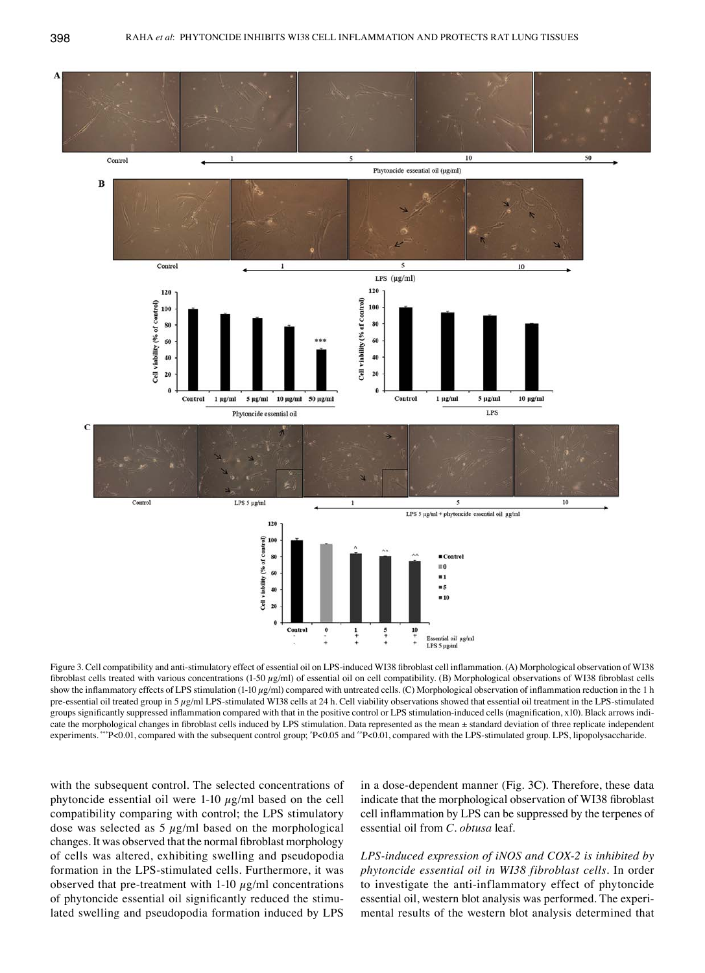

Figure 3. Cell compatibility and anti-stimulatory effect of essential oil on LPS-induced WI38 fibroblast cell inflammation. (A) Morphological observation of WI38 fibroblast cells treated with various concentrations (1‑50 µg/ml) of essential oil on cell compatibility. (B) Morphological observations of WI38 fibroblast cells show the inflammatory effects of LPS stimulation (1-10  $\mu$ g/ml) compared with untreated cells. (C) Morphological observation of inflammation reduction in the 1 h pre-essential oil treated group in 5  $\mu$ g/ml LPS-stimulated WI38 cells at 24 h. Cell viability observations showed that essential oil treatment in the LPS-stimulated groups significantly suppressed inflammation compared with that in the positive control or LPS stimulation‑induced cells (magnification, x10). Black arrows indicate the morphological changes in fibroblast cells induced by LPS stimulation. Data represented as the mean ± standard deviation of three replicate independent experiments. \*\*\*P<0.01, compared with the subsequent control group; ^P<0.05 and ^^P<0.01, compared with the LPS-stimulated group. LPS, lipopolysaccharide.

with the subsequent control. The selected concentrations of phytoncide essential oil were  $1-10 \mu g/ml$  based on the cell compatibility comparing with control; the LPS stimulatory dose was selected as  $5 \mu g/ml$  based on the morphological changes. It was observed that the normal fibroblast morphology of cells was altered, exhibiting swelling and pseudopodia formation in the LPS-stimulated cells. Furthermore, it was observed that pre-treatment with 1-10  $\mu$ g/ml concentrations of phytoncide essential oil significantly reduced the stimulated swelling and pseudopodia formation induced by LPS

in a dose-dependent manner (Fig. 3C). Therefore, these data indicate that the morphological observation of WI38 fibroblast cell inflammation by LPS can be suppressed by the terpenes of essential oil from *C. obtusa* leaf.

*LPS‑induced expression of iNOS and COX‑2 is inhibited by phytoncide essential oil in WI38 fibroblast cells.* In order to investigate the anti-inflammatory effect of phytoncide essential oil, western blot analysis was performed. The experimental results of the western blot analysis determined that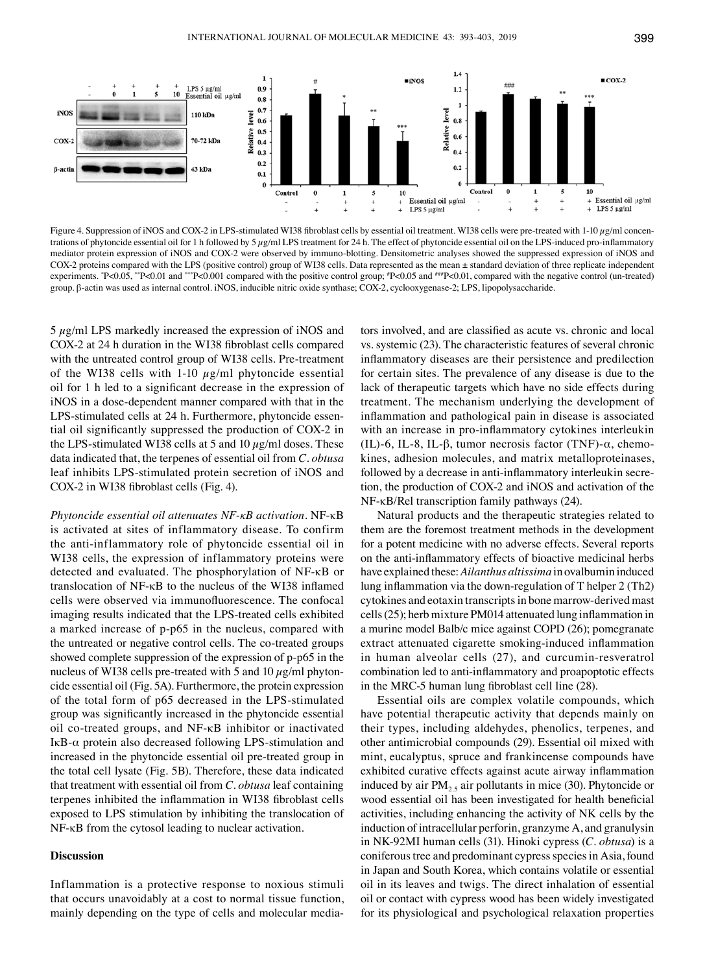

Figure 4. Suppression of iNOS and COX-2 in LPS-stimulated WI38 fibroblast cells by essential oil treatment. WI38 cells were pre-treated with 1-10  $\mu$ g/ml concentrations of phytoncide essential oil for 1 h followed by 5  $\mu$ g/ml LPS treatment for 24 h. The effect of phytoncide essential oil on the LPS-induced pro-inflammatory mediator protein expression of iNOS and COX-2 were observed by immuno-blotting. Densitometric analyses showed the suppressed expression of iNOS and COX-2 proteins compared with the LPS (positive control) group of WI38 cells. Data represented as the mean ± standard deviation of three replicate independent experiments. "P<0.05, ""P<0.01 and ""P<0.001 compared with the positive control group; "P<0.05 and ""P<0.01, compared with the negative control (un-treated) group. β-actin was used as internal control. iNOS, inducible nitric oxide synthase; COX-2, cyclooxygenase-2; LPS, lipopolysaccharide.

5 µg/ml LPS markedly increased the expression of iNOS and COX‑2 at 24 h duration in the WI38 fibroblast cells compared with the untreated control group of WI38 cells. Pre-treatment of the WI38 cells with 1-10  $\mu$ g/ml phytoncide essential oil for 1 h led to a significant decrease in the expression of iNOS in a dose-dependent manner compared with that in the LPS-stimulated cells at 24 h. Furthermore, phytoncide essential oil significantly suppressed the production of COX‑2 in the LPS-stimulated WI38 cells at 5 and 10  $\mu$ g/ml doses. These data indicated that, the terpenes of essential oil from *C. obtusa* leaf inhibits LPS-stimulated protein secretion of iNOS and COX‑2 in WI38 fibroblast cells (Fig. 4).

*Phytoncide essential oil attenuates NF‑κB activation.* NF-κB is activated at sites of inflammatory disease. To confirm the anti-inflammatory role of phytoncide essential oil in WI38 cells, the expression of inflammatory proteins were detected and evaluated. The phosphorylation of NF-κB or translocation of NF-κB to the nucleus of the WI38 inflamed cells were observed via immunofluorescence. The confocal imaging results indicated that the LPS-treated cells exhibited a marked increase of p-p65 in the nucleus, compared with the untreated or negative control cells. The co-treated groups showed complete suppression of the expression of p-p65 in the nucleus of WI38 cells pre-treated with 5 and 10  $\mu$ g/ml phytoncide essential oil (Fig. 5A). Furthermore, the protein expression of the total form of p65 decreased in the LPS-stimulated group was significantly increased in the phytoncide essential oil co-treated groups, and NF-κB inhibitor or inactivated IκB-α protein also decreased following LPS-stimulation and increased in the phytoncide essential oil pre-treated group in the total cell lysate (Fig. 5B). Therefore, these data indicated that treatment with essential oil from *C. obtusa* leaf containing terpenes inhibited the inflammation in WI38 fibroblast cells exposed to LPS stimulation by inhibiting the translocation of NF-κB from the cytosol leading to nuclear activation.

#### **Discussion**

Inflammation is a protective response to noxious stimuli that occurs unavoidably at a cost to normal tissue function, mainly depending on the type of cells and molecular media-

tors involved, and are classified as acute vs. chronic and local vs. systemic (23). The characteristic features of several chronic inflammatory diseases are their persistence and predilection for certain sites. The prevalence of any disease is due to the lack of therapeutic targets which have no side effects during treatment. The mechanism underlying the development of inflammation and pathological pain in disease is associated with an increase in pro-inflammatory cytokines interleukin (IL)-6, IL-8, IL-β, tumor necrosis factor (TNF)- $\alpha$ , chemokines, adhesion molecules, and matrix metalloproteinases, followed by a decrease in anti-inflammatory interleukin secretion, the production of COX-2 and iNOS and activation of the NF-κB/Rel transcription family pathways (24).

Natural products and the therapeutic strategies related to them are the foremost treatment methods in the development for a potent medicine with no adverse effects. Several reports on the anti-inflammatory effects of bioactive medicinal herbs have explained these: *Ailanthus altissima* in ovalbumin induced lung inflammation via the down‑regulation of T helper 2 (Th2) cytokines and eotaxin transcripts in bone marrow-derived mast cells(25); herb mixture PM014 attenuated lung inflammation in a murine model Balb/c mice against COPD (26); pomegranate extract attenuated cigarette smoking‑induced inflammation in human alveolar cells (27), and curcumin-resveratrol combination led to anti‑inflammatory and proapoptotic effects in the MRC‑5 human lung fibroblast cell line (28).

Essential oils are complex volatile compounds, which have potential therapeutic activity that depends mainly on their types, including aldehydes, phenolics, terpenes, and other antimicrobial compounds (29). Essential oil mixed with mint, eucalyptus, spruce and frankincense compounds have exhibited curative effects against acute airway inflammation induced by air  $PM_{2.5}$  air pollutants in mice (30). Phytoncide or wood essential oil has been investigated for health beneficial activities, including enhancing the activity of NK cells by the induction of intracellular perforin, granzyme A, and granulysin in NK-92MI human cells (31). Hinoki cypress (*C. obtusa*) is a coniferous tree and predominant cypress species in Asia, found in Japan and South Korea, which contains volatile or essential oil in its leaves and twigs. The direct inhalation of essential oil or contact with cypress wood has been widely investigated for its physiological and psychological relaxation properties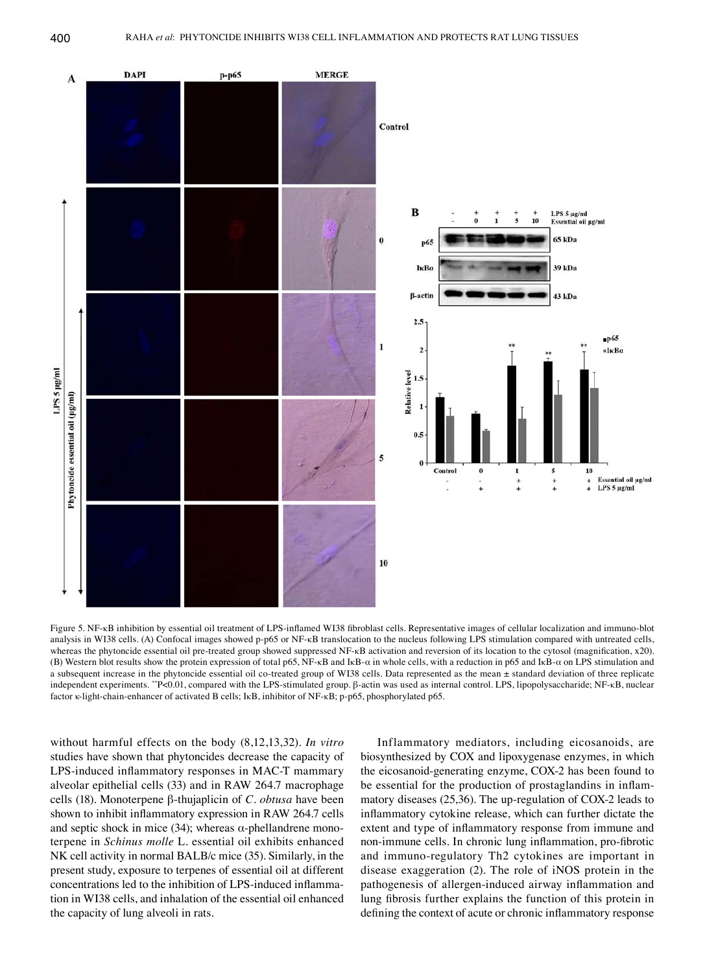

Figure 5. NF-KB inhibition by essential oil treatment of LPS-inflamed WI38 fibroblast cells. Representative images of cellular localization and immuno-blot analysis in WI38 cells. (A) Confocal images showed p-p65 or NF-κB translocation to the nucleus following LPS stimulation compared with untreated cells, whereas the phytoncide essential oil pre-treated group showed suppressed NF-κB activation and reversion of its location to the cytosol (magnification, x20). (B) Western blot results show the protein expression of total p65, NF-κB and IκB-α in whole cells, with a reduction in p65 and IκB-α on LPS stimulation and a subsequent increase in the phytoncide essential oil co-treated group of WI38 cells. Data represented as the mean ± standard deviation of three replicate independent experiments. \*\*P<0.01, compared with the LPS-stimulated group. β-actin was used as internal control. LPS, lipopolysaccharide; NF-κB, nuclear factor κ-light-chain-enhancer of activated B cells; IκB, inhibitor of NF-κB; p-p65, phosphorylated p65.

without harmful effects on the body (8,12,13,32). *In vitro* studies have shown that phytoncides decrease the capacity of LPS-induced inflammatory responses in MAC-T mammary alveolar epithelial cells (33) and in RAW 264.7 macrophage cells (18). Monoterpene β-thujaplicin of *C. obtusa* have been shown to inhibit inflammatory expression in RAW 264.7 cells and septic shock in mice (34); whereas  $\alpha$ -phellandrene monoterpene in *Schinus molle* L. essential oil exhibits enhanced NK cell activity in normal BALB/c mice (35). Similarly, in the present study, exposure to terpenes of essential oil at different concentrations led to the inhibition of LPS‑induced inflammation in WI38 cells, and inhalation of the essential oil enhanced the capacity of lung alveoli in rats.

Inflammatory mediators, including eicosanoids, are biosynthesized by COX and lipoxygenase enzymes, in which the eicosanoid-generating enzyme, COX-2 has been found to be essential for the production of prostaglandins in inflammatory diseases (25,36). The up-regulation of COX-2 leads to inflammatory cytokine release, which can further dictate the extent and type of inflammatory response from immune and non-immune cells. In chronic lung inflammation, pro-fibrotic and immuno-regulatory Th2 cytokines are important in disease exaggeration (2). The role of iNOS protein in the pathogenesis of allergen‑induced airway inflammation and lung fibrosis further explains the function of this protein in defining the context of acute or chronic inflammatory response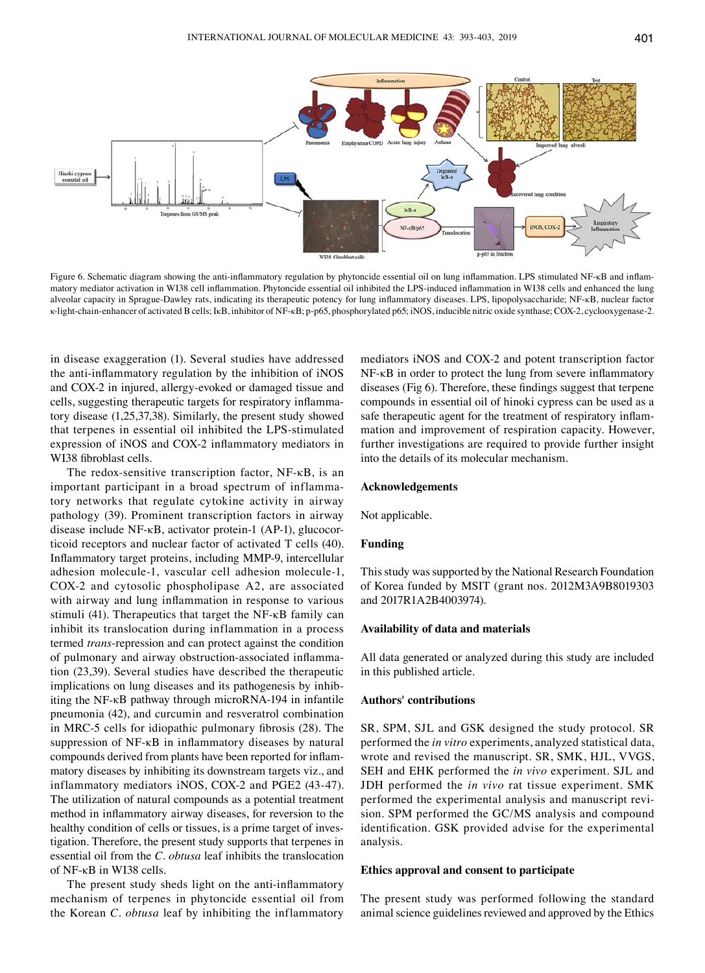

Figure 6. Schematic diagram showing the anti‑inflammatory regulation by phytoncide essential oil on lung inflammation. LPS stimulated NF‑κB and inflammatory mediator activation in WI38 cell inflammation. Phytoncide essential oil inhibited the LPS‑induced inflammation in WI38 cells and enhanced the lung alveolar capacity in Sprague‑Dawley rats, indicating its therapeutic potency for lung inflammatory diseases. LPS, lipopolysaccharide; NF‑κB, nuclear factor κ-light-chain-enhancer of activated B cells; IκB, inhibitor of NF-κB; p-p65, phosphorylated p65; iNOS, inducible nitric oxide synthase; COX-2, cyclooxygenase-2.

in disease exaggeration (1). Several studies have addressed the anti-inflammatory regulation by the inhibition of iNOS and COX-2 in injured, allergy-evoked or damaged tissue and cells, suggesting therapeutic targets for respiratory inflammatory disease (1,25,37,38). Similarly, the present study showed that terpenes in essential oil inhibited the LPS-stimulated expression of iNOS and COX-2 inflammatory mediators in WI38 fibroblast cells.

The redox-sensitive transcription factor, NF-κB, is an important participant in a broad spectrum of inflammatory networks that regulate cytokine activity in airway pathology (39). Prominent transcription factors in airway disease include NF-κB, activator protein-1 (AP-1), glucocorticoid receptors and nuclear factor of activated T cells (40). Inflammatory target proteins, including MMP‑9, intercellular adhesion molecule-1, vascular cell adhesion molecule-1, COX-2 and cytosolic phospholipase A2, are associated with airway and lung inflammation in response to various stimuli (41). Therapeutics that target the NF-κB family can inhibit its translocation during inflammation in a process termed *trans*-repression and can protect against the condition of pulmonary and airway obstruction‑associated inflammation (23,39). Several studies have described the therapeutic implications on lung diseases and its pathogenesis by inhibiting the NF-κB pathway through microRNA-194 in infantile pneumonia (42), and curcumin and resveratrol combination in MRC‑5 cells for idiopathic pulmonary fibrosis (28). The suppression of NF-κB in inflammatory diseases by natural compounds derived from plants have been reported for inflammatory diseases by inhibiting its downstream targets viz., and inflammatory mediators iNOS, COX-2 and PGE2 (43-47). The utilization of natural compounds as a potential treatment method in inflammatory airway diseases, for reversion to the healthy condition of cells or tissues, is a prime target of investigation. Therefore, the present study supports that terpenes in essential oil from the *C. obtusa* leaf inhibits the translocation of NF-κB in WI38 cells.

The present study sheds light on the anti-inflammatory mechanism of terpenes in phytoncide essential oil from the Korean *C. obtusa* leaf by inhibiting the inflammatory

mediators iNOS and COX-2 and potent transcription factor NF-κB in order to protect the lung from severe inflammatory diseases (Fig 6). Therefore, these findings suggest that terpene compounds in essential oil of hinoki cypress can be used as a safe therapeutic agent for the treatment of respiratory inflammation and improvement of respiration capacity. However, further investigations are required to provide further insight into the details of its molecular mechanism.

# **Acknowledgements**

Not applicable.

## **Funding**

This study was supported by the National Research Foundation of Korea funded by MSIT (grant nos. 2012M3A9B8019303 and 2017R1A2B4003974).

## **Availability of data and materials**

All data generated or analyzed during this study are included in this published article.

#### **Authors' contributions**

SR, SPM, SJL and GSK designed the study protocol. SR performed the *in vitro* experiments, analyzed statistical data, wrote and revised the manuscript. SR, SMK, HJL, VVGS, SEH and EHK performed the *in vivo* experiment. SJL and JDH performed the *in vivo* rat tissue experiment. SMK performed the experimental analysis and manuscript revision. SPM performed the GC/MS analysis and compound identification. GSK provided advise for the experimental analysis.

#### **Ethics approval and consent to participate**

The present study was performed following the standard animal science guidelines reviewed and approved by the Ethics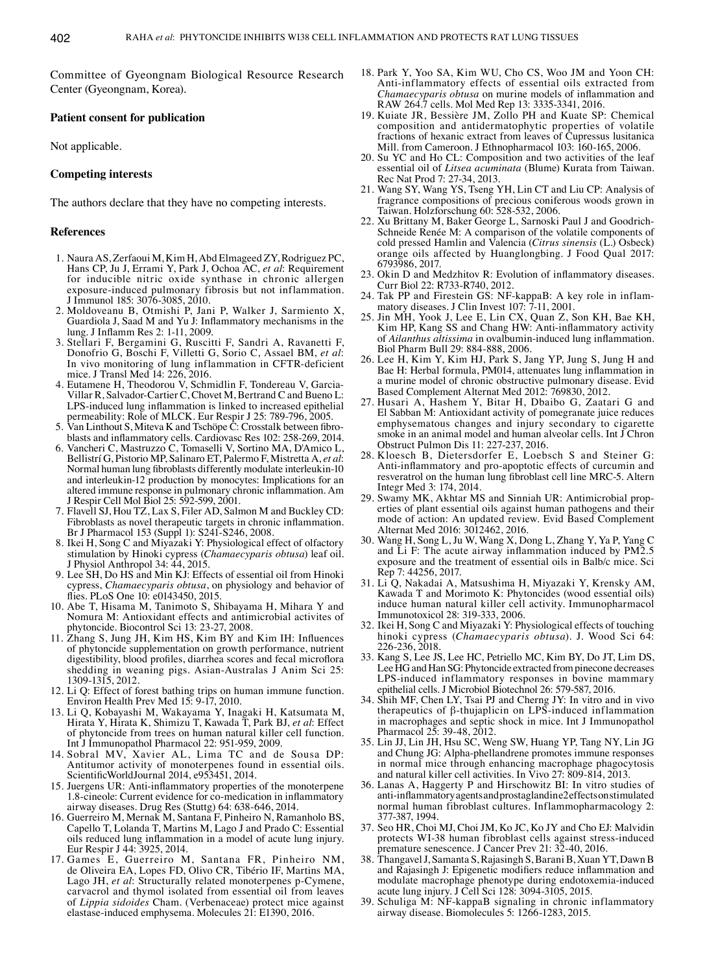Committee of Gyeongnam Biological Resource Research Center (Gyeongnam, Korea).

# **Patient consent for publication**

Not applicable.

# **Competing interests**

The authors declare that they have no competing interests.

#### **References**

- 1. Naura AS, Zerfaoui M, Kim H, Abd Elmageed ZY, Rodriguez PC, Hans CP, Ju J, Errami Y, Park J, Ochoa AC, *et al*: Requirement for inducible nitric oxide synthase in chronic allergen exposure-induced pulmonary fibrosis but not inflammation. J Immunol 185: 3076-3085, 2010.
- 2. Moldoveanu B, Otmishi P, Jani P, Walker J, Sarmiento X, Guardiola J, Saad M and Yu J: Inflammatory mechanisms in the lung. J Inflamm Res 2: 1‑11, 2009.
- 3. Stellari F, Bergamini G, Ruscitti F, Sandri A, Ravanetti F, Donofrio G, Boschi F, Villetti G, Sorio C, Assael BM, et al: In vivo monitoring of lung inflammation in CFTR-deficient mice. J Transl Med 14: 226, 2016.
- 4. Eutamene H, Theodorou V, Schmidlin F, Tondereau V, Garcia-Villar R, Salvador‑Cartier C, Chovet M, Bertrand C and Bueno L: LPS‑induced lung inflammation is linked to increased epithelial
- permeability: Role of MLCK. Eur Respir J 25: 789-796, 2005. 5. Van Linthout S, Miteva K and Tschöpe C: Crosstalk between fibro- blasts and inflammatory cells. Cardiovasc Res 102: 258‑269, 2014.
- 6. Vancheri C, Mastruzzo C, Tomaselli V, Sortino MA, D'Amico L, Bellistrí G, Pistorio MP, Salinaro ET, Palermo F, Mistretta A, *et al*: Normal human lung fibroblasts differently modulate interleukin‑10 and interleukin-12 production by monocytes: Implications for an altered immune response in pulmonary chronic inflammation. Am J Respir Cell Mol Biol 25: 592-599, 2001.
- 7. Flavell SJ, Hou TZ, Lax S, Filer AD, Salmon M and Buckley CD: Fibroblasts as novel therapeutic targets in chronic inflammation. Br J Pharmacol 153 (Suppl 1): S241-S246, 2008.
- 8. Ikei H, Song C and Miyazaki Y: Physiological effect of olfactory stimulation by Hinoki cypress (*Chamaecyparis obtusa*) leaf oil. J Physiol Anthropol 34: 44, 2015.
- 9. Lee SH, Do HS and Min KJ: Effects of essential oil from Hinoki cypress, *Chamaecyparis obtusa*, on physiology and behavior of flies. PLoS One 10: e0143450, 2015.
- 10. Abe T, Hisama M, Tanimoto S, Shibayama H, Mihara Y and Nomura M: Antioxidant effects and antimicrobial activites of phytoncide. Biocontrol Sci 13: 23-27, 2008.
- 11. Zhang S, Jung JH, Kim HS, Kim BY and Kim IH: Influences of phytoncide supplementation on growth performance, nutrient digestibility, blood profiles, diarrhea scores and fecal microflora shedding in weaning pigs. Asian-Australas J Anim Sci 25: 1309-1315, 2012.
- 12. Li Q: Effect of forest bathing trips on human immune function. Environ Health Prev Med 15: 9-17, 2010.
- 13. Li Q, Kobayashi M, Wakayama Y, Inagaki H, Katsumata M, Hirata Y, Hirata K, Shimizu T, Kawada T, Park BJ, *et al*: Effect of phytoncide from trees on human natural killer cell function. Int J Immunopathol Pharmacol 22: 951-959, 2009.
- 14. Sobral MV, Xavier AL, Lima TC and de Sousa DP: Antitumor activity of monoterpenes found in essential oils. ScientificWorldJournal 2014, e953451, 2014.
- 15. Juergens UR: Anti‑inflammatory properties of the monoterpene 1.8‑cineole: Current evidence for co‑medication in inflammatory airway diseases. Drug Res (Stuttg) 64: 638-646, 2014.
- 16. Guerreiro M, Mernak M, Santana F, Pinheiro N, Ramanholo BS, Capello T, Lolanda T, Martins M, Lago J and Prado C: Essential oils reduced lung inflammation in a model of acute lung injury. Eur Respir J 44: 3925, 2014.
- 17. Games E, Guerreiro M, Santana FR, Pinheiro NM, de Oliveira EA, Lopes FD, Olivo CR, Tibério IF, Martins MA, Lago JH, *et al*: Structurally related monoterpenes p‑Cymene, carvacrol and thymol isolated from essential oil from leaves of *Lippia sidoides* Cham. (Verbenaceae) protect mice against elastase-induced emphysema. Molecules 21: E1390, 2016.
- 18. Park Y, Yoo SA, Kim WU, Cho CS, Woo JM and Yoon CH: Anti-inflammatory effects of essential oils extracted from *Chamaecyparis obtusa* on murine models of inflammation and RAW 264.7 cells. Mol Med Rep 13: 3335-3341, 2016.
- 19. Kuiate JR, Bessière JM, Zollo PH and Kuate SP: Chemical composition and antidermatophytic properties of volatile fractions of hexanic extract from leaves of Cupressus lusitanica Mill. from Cameroon. J Ethnopharmacol 103: 160-165, 2006.
- 20. Su YC and Ho CL: Composition and two activities of the leaf essential oil of *Litsea acuminata* (Blume) Kurata from Taiwan. Rec Nat Prod 7: 27-34, 2013.
- 21. Wang SY, Wang YS, Tseng YH, Lin CT and Liu CP: Analysis of fragrance compositions of precious coniferous woods grown in Taiwan. Holzforschung 60: 528-532, 2006.
- 22. Xu Brittany M, Baker George L, Sarnoski Paul J and Goodrich-Schneide Renée M: A comparison of the volatile components of cold pressed Hamlin and Valencia (*Citrus sinensis* (L.) Osbeck) orange oils affected by Huanglongbing. J Food Qual 2017: 6793986, 2017.
- 23. Okin D and Medzhitov R: Evolution of inflammatory diseases. Curr Biol 22: R733-R740, 2012.
- 24. Tak PP and Firestein GS: NF-kappaB: A key role in inflam- matory diseases. J Clin Invest 107: 7-11, 2001.
- 25. Jin MH, Yook J, Lee E, Lin CX, Quan Z, Son KH, Bae KH, Kim HP, Kang SS and Chang HW: Anti-inflammatory activity of *Ailanthus altissima* in ovalbumin‑induced lung inflammation. Biol Pharm Bull 29: 884-888, 2006.
- 26. Lee H, Kim Y, Kim HJ, Park S, Jang YP, Jung S, Jung H and Bae H: Herbal formula, PM014, attenuates lung inflammation in a murine model of chronic obstructive pulmonary disease. Evid Based Complement Alternat Med 2012: 769830, 2012.
- 27. Husari A, Hashem Y, Bitar H, Dbaibo G, Zaatari G and El Sabban M: Antioxidant activity of pomegranate juice reduces emphysematous changes and injury secondary to cigarette smoke in an animal model and human alveolar cells. Int  $\overline{J}$  Chron Obstruct Pulmon Dis 11: 227-237, 2016.
- 28. Kloesch B, Dietersdorfer E, Loebsch S and Steiner G: Anti-inflammatory and pro-apoptotic effects of curcumin and resveratrol on the human lung fibroblast cell line MRC‑5. Altern Integr Med 3: 174, 2014.<br>29. Swamy MK, Akhtar MS and Sinniah UR: Antimicrobial prop-
- erties of plant essential oils against human pathogens and their mode of action: An updated review. Evid Based Complement Alternat Med 2016: 3012462, 2016.
- 30. Wang H, Song L, Ju W, Wang X, Dong L, Zhang Y, Ya P, Yang C and Li F: The acute airway inflammation induced by PM2.5 exposure and the treatment of essential oils in Balb/c mice. Sci Rep 7: 44256, 2017.
- 31. Li Q, Nakadai A, Matsushima H, Miyazaki Y, Krensky AM, Kawada T and Morimoto K: Phytoncides (wood essential oils) induce human natural killer cell activity. Immunopharmacol Immunotoxicol 28: 319-333, 2006.
- 32. Ikei H, Song C and Miyazaki Y: Physiological effects of touching hinoki cypress (*Chamaecyparis obtusa*). J. Wood Sci 64: 226-236, 2018.
- 33. Kang S, Lee JS, Lee HC, Petriello MC, Kim BY, Do JT, Lim DS, Lee HG and Han SG: Phytoncide extracted from pinecone decreases LPS-induced inflammatory responses in bovine mammary epithelial cells. J Microbiol Biotechnol 26: 579-587, 2016.
- 34. Shih MF, Chen LY, Tsai PJ and Cherng JY: In vitro and in vivo therapeutics of β-thujaplicin on LPS-induced inflammation in macrophages and septic shock in mice. Int J Immunopathol Pharmacol 25: 39-48, 2012.
- 35. Lin JJ, Lin JH, Hsu SC, Weng SW, Huang YP, Tang NY, Lin JG and Chung JG: Alpha-phellandrene promotes immune responses in normal mice through enhancing macrophage phagocytosis and natural killer cell activities. In Vivo 27: 809-814, 2013.
- 36. Lanas A, Haggerty P and Hirschowitz BI: In vitro studies of anti‑inflammatory agents and prostaglandin e2 effects on stimulated normal human fibroblast cultures. Inflammopharmacology 2: 377-387, 1994.
- 37. Seo HR, Choi MJ, Choi JM, Ko JC, Ko JY and Cho EJ: Malvidin protects WI-38 human fibroblast cells against stress-induced premature senescence. J Cancer Prev 21: 32-40, 2016.
- 38. Thangavel J, Samanta S, Rajasingh S, Barani B, Xuan YT, DawnB and Rajasingh J: Epigenetic modifiers reduce inflammation and modulate macrophage phenotype during endotoxemia-induced acute lung injury. J Cell Sci 128: 3094-3105, 2015.
- 39. Schuliga M: NF-kappaB signaling in chronic inflammatory airway disease. Biomolecules 5: 1266-1283, 2015.